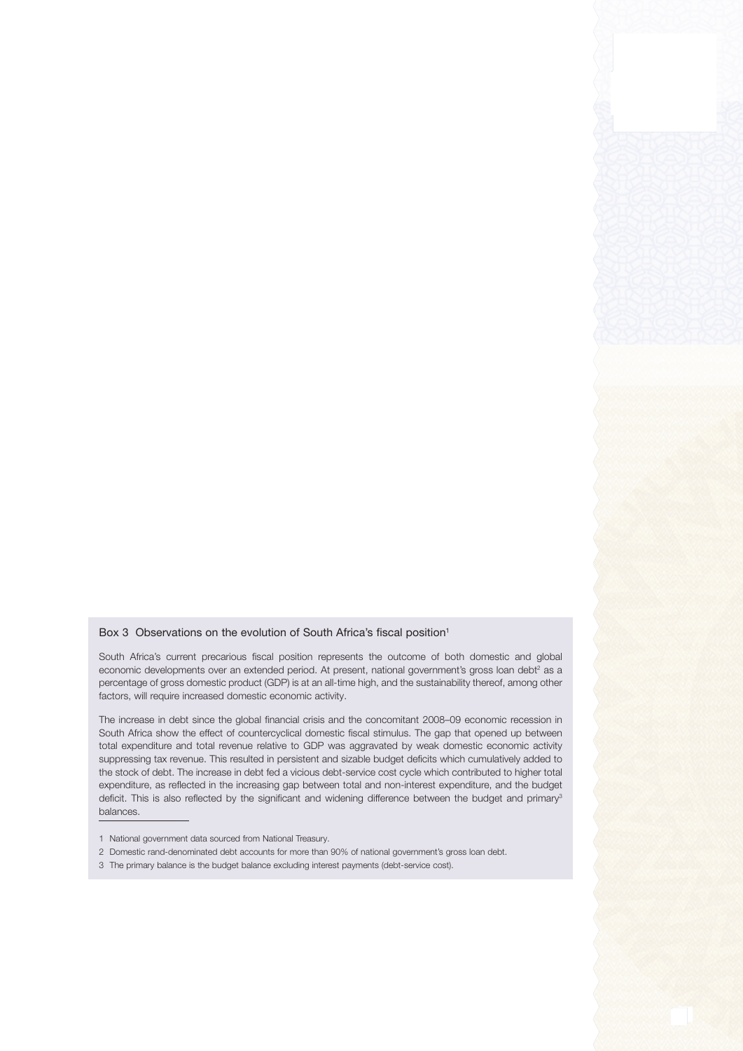## Box 3 Observations on the evolution of South Africa's fiscal position<sup>1</sup>

South Africa's current precarious fiscal position represents the outcome of both domestic and global economic developments over an extended period. At present, national government's gross loan debt<sup>2</sup> as a percentage of gross domestic product (GDP) is at an all-time high, and the sustainability thereof, among other factors, will require increased domestic economic activity.

The increase in debt since the global financial crisis and the concomitant 2008–09 economic recession in South Africa show the effect of countercyclical domestic fiscal stimulus. The gap that opened up between total expenditure and total revenue relative to GDP was aggravated by weak domestic economic activity suppressing tax revenue. This resulted in persistent and sizable budget deficits which cumulatively added to the stock of debt. The increase in debt fed a vicious debt-service cost cycle which contributed to higher total expenditure, as reflected in the increasing gap between total and non-interest expenditure, and the budget deficit. This is also reflected by the significant and widening difference between the budget and primary<sup>3</sup> balances.

- 1 National government data sourced from National Treasury.
- 2 Domestic rand-denominated debt accounts for more than 90% of national government's gross loan debt.
- 3 The primary balance is the budget balance excluding interest payments (debt-service cost).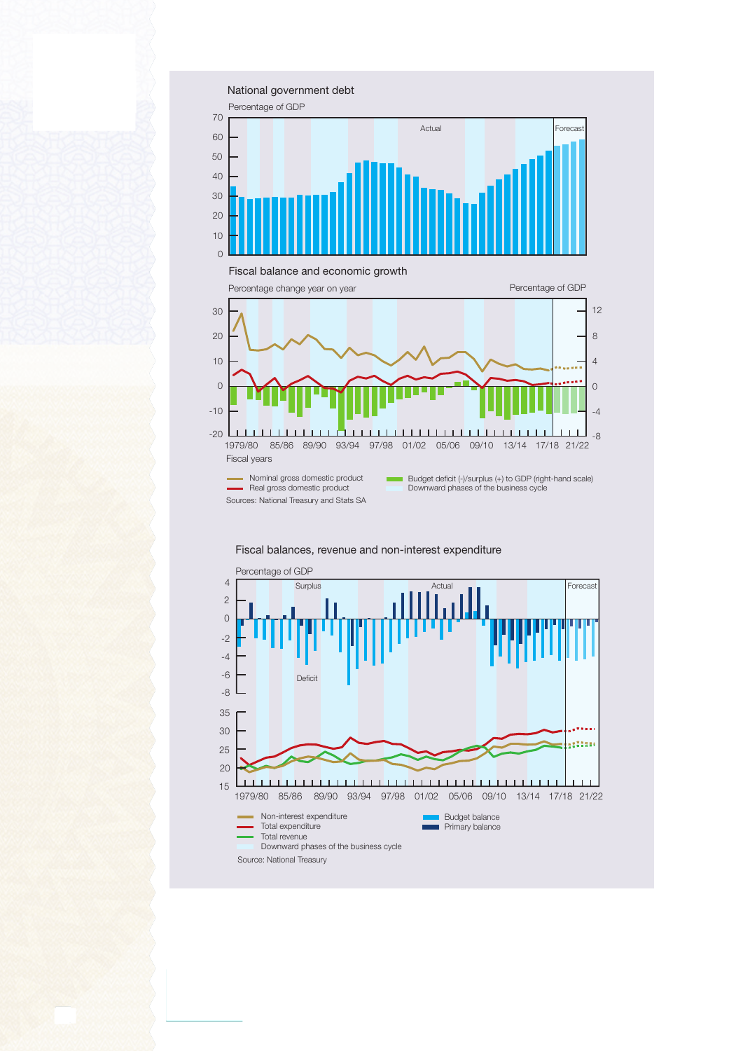

- Nominal gross domestic product - Real gross domestic product Sources: National Treasury and Stats SA Budget deficit (-)/surplus (+) to GDP (right-hand scale) Downward phases of the business cycle